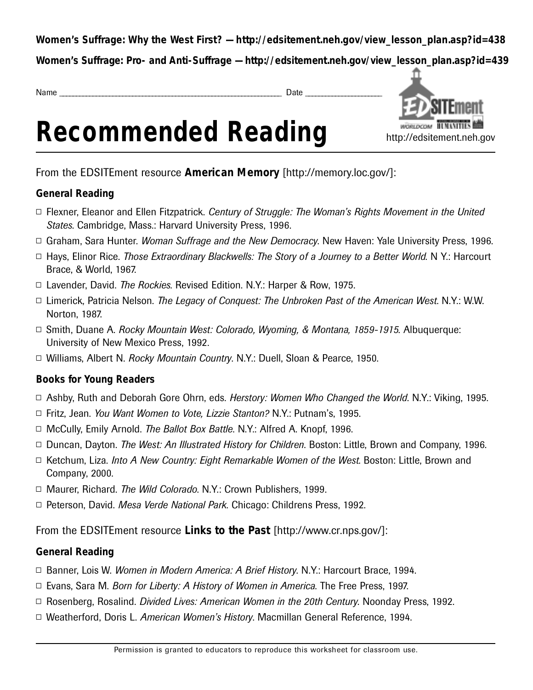**Women's Suffrage: Why the West First? — http://edsitement.neh.gov/view\_lesson\_plan.asp?id=438**

**Women's Suffrage: Pro- and Anti-Suffrage — http://edsitement.neh.gov/view\_lesson\_plan.asp?id=439**

Name \_ \_ \_ \_ \_ \_ \_ \_ \_ \_ \_ \_ \_ \_ \_ \_ \_ \_ \_ \_ \_ \_ \_ \_ \_ \_ \_ \_ \_ \_ \_ \_ \_ \_ \_ \_ \_ \_ \_ \_ \_ \_ \_ \_ \_ \_ \_ \_ \_ \_ \_ \_ \_ \_ \_ \_ \_ \_ \_ \_ \_ \_ \_ \_ \_ \_ \_ Date \_ \_ \_ \_ \_ \_ \_ \_ \_ \_ \_ \_ \_ \_ \_ \_ \_ \_ \_ \_ \_ \_ \_





From the EDSITEment resource **American Memory** [http://memory.loc.gov/]:

### **General Reading**

- □ Flexner, Eleanor and Ellen Fitzpatrick. *Century of Struggle: The Woman's Rights Movement in the United States. Cambridge, Mass.: Harvard University Press, 1996.*
- □ Graham, Sara Hunter. *Woman Suffrage and the New Democracy*. New Haven: Yale University Press, 1996.
- □ Hays, Elinor Rice. *Those Extraordinary Blackwells: The Story of a Journey to a Better World*. N Y.: Harcourt Brace, & World, 1967.
- □ Lavender, David. *The Rockies*. Revised Edition. N.Y.: Harper & Row, 1975.
- □ Limerick, Patricia Nelson. *The Legacy of Conquest: The Unbroken Past of the American West*. N.Y.: W.W. Norton, 1987.
- □ Smith, Duane A. *Rocky Mountain West: Colorado, Wyoming, & Montana, 1859-1915*. Albuquerque: University of New Mexico Press, 1992.
- Williams, Albert N. *Rocky Mountain Country*. N.Y.: Duell, Sloan & Pearce, 1950.

# **Books for Young Readers**

- □ Ashby, Ruth and Deborah Gore Ohrn, eds. *Herstory: Women Who Changed the World*. N.Y.: Viking, 1995.
- □ Fritz, Jean. *You Want Women to Vote, Lizzie Stanton?* N.Y.: Putnam's, 1995.
- □ McCully, Emily Arnold. *The Ballot Box Battle*. N.Y.: Alfred A. Knopf, 1996.
- □ Duncan, Dayton. *The West: An Illustrated History for Children*. Boston: Little, Brown and Company, 1996.
- □ Ketchum, Liza. *Into A New Country: Eight Remarkable Women of the West*. Boston: Little, Brown and Company, 2000.
- □ Maurer, Richard. *The Wild Colorado*. N.Y.: Crown Publishers, 1999.
- □ Peterson, David. *Mesa Verde National Park*. Chicago: Childrens Press, 1992.

From the EDSITEment resource **Links to the Past** [http://www.cr.nps.gov/]:

# **General Reading**

- □ Banner, Lois W. *Women in Modern America: A Brief History*. N.Y.: Harcourt Brace, 1994.
- □ Evans, Sara M. *Born for Liberty: A History of Women in America*. The Free Press, 1997.
- □ Rosenberg, Rosalind. *Divided Lives: American Women in the 20th Century*. Noonday Press, 1992.
- □ Weatherford, Doris L. *American Women's History*. Macmillan General Reference, 1994.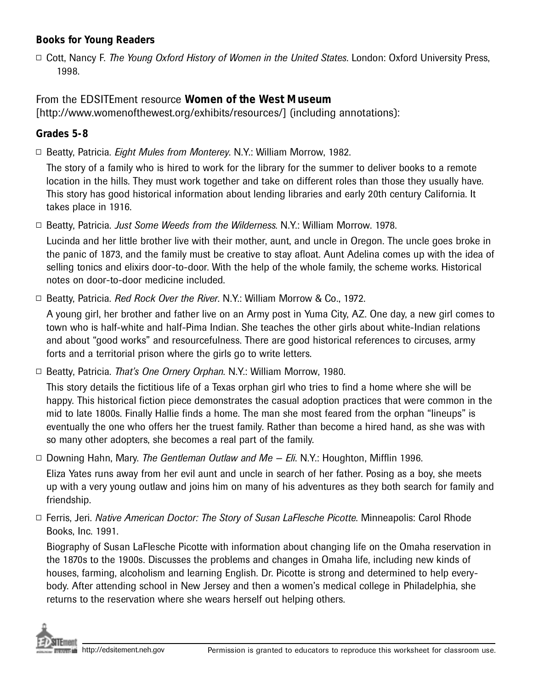#### **Books for Young Readers**

□ Cott, Nancy F. *The Young Oxford History of Women in the United States*. London: Oxford University Press, 1998.

### From the EDSITEment resource **Women of the West Museum**

[http://www.womenofthewest.org/exhibits/resources/] (including annotations):

#### **G rades 5-8**

□ Beatty, Patricia. *Eight Mules from Monterey*. N.Y.: William Morrow, 1982.

The story of a family who is hired to work for the library for the summer to deliver books to a remote location in the hills. They must work together and take on different roles than those they usually have. This story has good historical information about lending libraries and early 20th century California. It takes place in 1916.

□ Beatty, Patricia. *Just Some Weeds from the Wilderness*. N.Y.: William Morrow. 1978.

Lucinda and her little brother live with their mother, aunt, and uncle in Oregon. The uncle goes broke in the panic of 1873, and the family must be creative to stay afloat. Aunt Adelina comes up with the idea of selling tonics and elixirs door-to-door. With the help of the whole family, the scheme works. Historical notes on door-to-door medicine included.

□ Beatty, Patricia. *Red Rock Over the River*. N.Y.: William Morrow & Co., 1972.

A young girl, her brother and father live on an Army post in Yuma City, AZ. One day, a new girl comes to town who is half-white and half-Pima Indian. She teaches the other girls about white-Indian relations and about "good works" and resourcefulness. There are good historical references to circuses, army forts and a territorial prison where the girls go to write letters.

□ Beatty, Patricia. *That's One Ornery Orphan*. N.Y.: William Morrow, 1980.

This story details the fictitious life of a Texas orphan girl who tries to find a home where she will be happy. This historical fiction piece demonstrates the casual adoption practices that were common in the mid to late 1800s. Finally Hallie finds a home. The man she most feared from the orphan "lineups" is eventually the one who offers her the truest family. Rather than become a hired hand, as she was with so many other adopters, she becomes a real part of the family.

▫ Downing Hahn, Mary. *The Gentleman Outlaw and Me — Eli*. N.Y.: Houghton, Mifflin 1996 .

Eliza Yates runs away from her evil aunt and uncle in search of her father. Posing as a boy, she meets up with a very young outlaw and joins him on many of his adventures as they both search for family and friendship.

▫ Ferris, Jeri. *Native American Doctor: The Story of Susan LaFlesche Picotte*. Minneapolis: Carol Rhode Books, Inc. 1991.

Biography of Susan LaFlesche Picotte with information about changing life on the Omaha reservation in the 1870s to the 1900s. Discusses the problems and changes in Omaha life, including new kinds of houses, farming, alcoholism and learning English. Dr. Picotte is strong and determined to help everybody. After attending school in New Jersey and then a women's medical college in Philadelphia, she returns to the reservation where she wears herself out helping others.

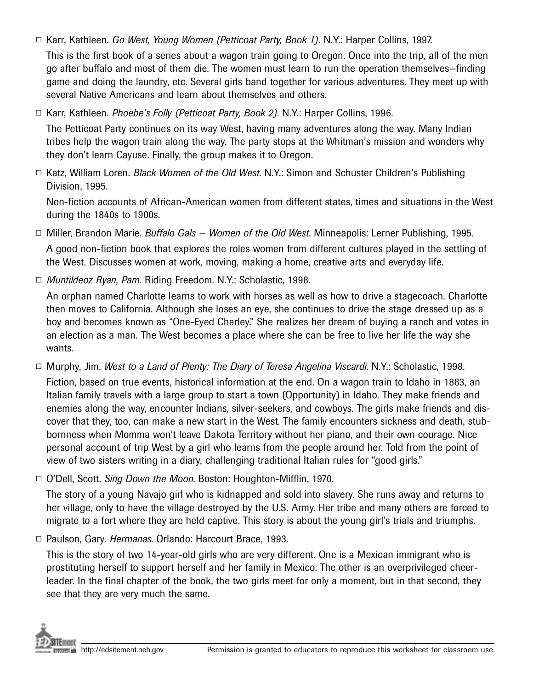□ Karr, Kathleen. *Go West, Young Women (Petticoat Party, Book 1)*. N.Y.: Harper Collins, 1997.

This is the first book of a series about a wagon train going to Oregon. Once into the trip, all of the men go after buffalo and most of them die. The women must learn to run the operation themselves–finding game and doing the laundry, etc. Several girls band together for various adventures. They meet up with several Native Americans and learn about themselves and others.

□ Karr, Kathleen. *Phoebe's Folly (Petticoat Party, Book 2)*. N.Y.: Harper Collins, 1996.

The Petticoat Party continues on its way West, having many adventures along the way. Many Indian tribes help the wagon train along the way. The party stops at the Whitman's mission and wonders why they don't learn Cayuse. Finally, the group makes it to Oregon.

□ Katz, William Loren. *Black Women of the Old West*. N.Y.: Simon and Schuster Children's Publishing Division, 1995.

Non-fiction accounts of African-American women from different states, times and situations in the West during the  $1840s$  to  $1900s$ .

- □ Miller, Brandon Marie. *Buffalo Gals Women of the Old West*. Minneapolis: Lerner Publishing, 1995. A good non-fiction book that explores the roles women from different cultures played in the settling of the West. Discusses women at work, moving, making a home, creative arts and everyday life.
- *Muntildeoz Ryan, Pam.* Riding Freedom. N.Y.: Scholastic, 1998 .

An orphan named Charlotte learns to work with horses as well as how to drive a stagecoach. Charlotte then moves to California. Although she loses an eye, she continues to drive the stage dressed up as a boy and becomes known as "One-Eyed Charley." She realizes her dream of buying a ranch and votes in an election as a man. The West becomes a place where she can be free to live her life the way she wants.

□ Murphy, Jim. *West to a Land of Plenty: The Diary of Teresa Angelina Viscardi*. N.Y.: Scholastic, 1998.

Fiction, based on true events, historical information at the end. On a wagon train to Idaho in 1883, an Italian family travels with a large group to start a town (Opportunity) in Idaho. They make friends and enemies along the way, encounter Indians, silver-seekers, and cowboys. The girls make friends and discover that they, too, can make a new start in the West. The family encounters sickness and death, stubbornness when Momma won't leave Dakota Territory without her piano, and their own courage. Nice personal account of trip West by a girl who learns from the people around her. Told from the point of view of two sisters writing in a diary, challenging traditional Italian rules for "good girls."

▫ O'Dell, Scott. *Sing Down the Moon*. Boston: Houghton-Mifflin, 1970 .

The story of a young Navajo girl who is kidnapped and sold into slavery. She runs away and returns to her village, only to have the village destroyed by the U.S. Army. Her tribe and many others are forced to migrate to a fort where they are held captive. This story is about the young girl's trials and triumphs.

□ Paulson, Gary. *Hermanas*. Orlando: Harcourt Brace, 1993.

This is the story of two 14-year-old girls who are very different. One is a Mexican immigrant who is prostituting herself to support herself and her family in Mexico. The other is an overprivileged cheerleader. In the final chapter of the book, the two girls meet for only a moment, but in that second, they see that they are very much the same.